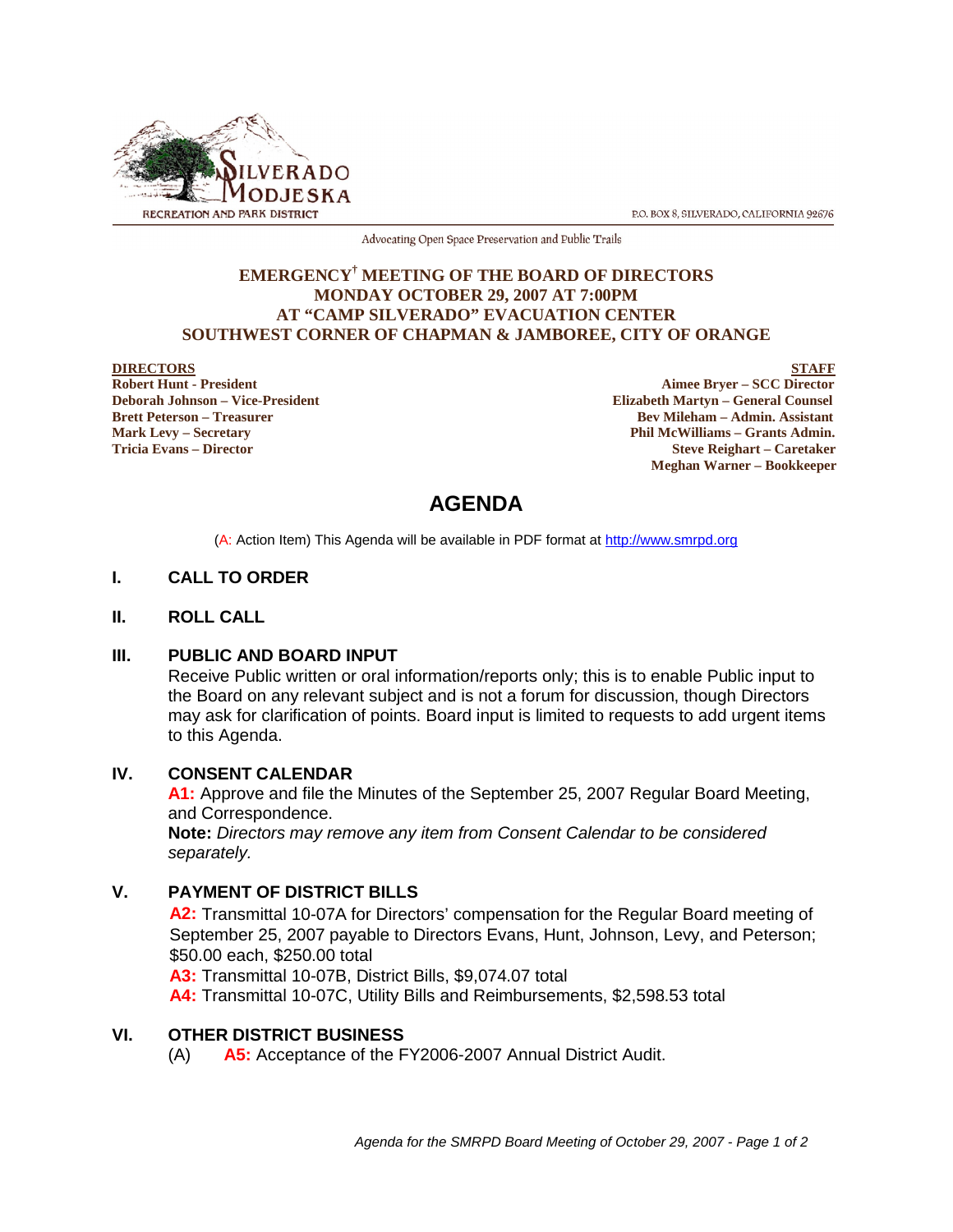

P.O. BOX 8, SILVERADO, CALIFORNIA 92676

Advocating Open Space Preservation and Public Trails

### **EMERGENCY† MEETING OF THE BOARD OF DIRECTORS MONDAY OCTOBER 29, 2007 AT 7:00PM AT "CAMP SILVERADO" EVACUATION CENTER SOUTHWEST CORNER OF CHAPMAN & JAMBOREE, CITY OF ORANGE**

**DIRECTORS** STAFF<br>
Robert Hunt - President Aimee Bryer – SCC Director<br>
Aimee Bryer – SCC Director **Aimee Bryer – SCC Director Deborah Johnson – Vice-President Elizabeth Martyn – General Counsel Brett Peterson – Treasurer Sexual Assistant** Bev Mileham – Admin. Assistant **Mark Levy – Secretary Phil McWilliams – Grants Admin. Tricia Evans – Director Steve Reighart – Caretaker Meghan Warner – Bookkeeper**

# **AGENDA**

(A: Action Item) This Agenda will be available in PDF format at http://www.smrpd.org

# **I. CALL TO ORDER**

#### **II. ROLL CALL**

#### **III. PUBLIC AND BOARD INPUT**

Receive Public written or oral information/reports only; this is to enable Public input to the Board on any relevant subject and is not a forum for discussion, though Directors may ask for clarification of points. Board input is limited to requests to add urgent items to this Agenda.

#### **IV. CONSENT CALENDAR**

**A1:** Approve and file the Minutes of the September 25, 2007 Regular Board Meeting, and Correspondence.

**Note:** *Directors may remove any item from Consent Calendar to be considered separately.*

# **V. PAYMENT OF DISTRICT BILLS**

**A2:** Transmittal 10-07A for Directors' compensation for the Regular Board meeting of September 25, 2007 payable to Directors Evans, Hunt, Johnson, Levy, and Peterson; \$50.00 each, \$250.00 total

**A3:** Transmittal 10-07B, District Bills, \$9,074.07 total

**A4:** Transmittal 10-07C, Utility Bills and Reimbursements, \$2,598.53 total

# **VI. OTHER DISTRICT BUSINESS**

(A) **A5:** Acceptance of the FY2006-2007 Annual District Audit.